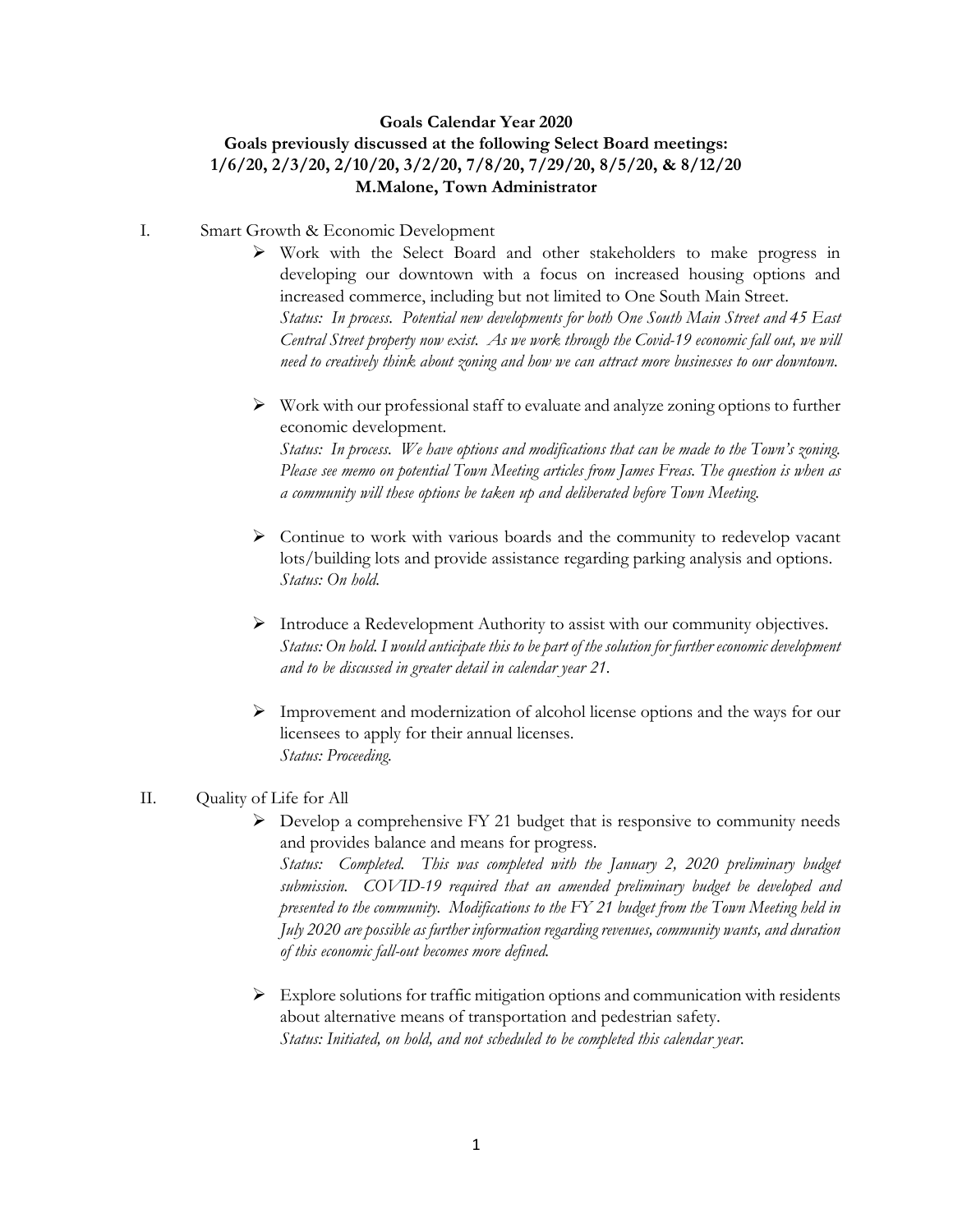#### **Goals Calendar Year 2020**

# **Goals previously discussed at the following Select Board meetings: 1/6/20, 2/3/20, 2/10/20, 3/2/20, 7/8/20, 7/29/20, 8/5/20, & 8/12/20 M.Malone, Town Administrator**

- I. Smart Growth & Economic Development
	- $\triangleright$  Work with the Select Board and other stakeholders to make progress in developing our downtown with a focus on increased housing options and increased commerce, including but not limited to One South Main Street. *Status: In process. Potential new developments for both One South Main Street and 45 East Central Street property now exist. As we work through the Covid-19 economic fall out, we will need to creatively think about zoning and how we can attract more businesses to our downtown.*
	- $\triangleright$  Work with our professional staff to evaluate and analyze zoning options to further economic development.

*Status: In process. We have options and modifications that can be made to the Town's zoning. Please see memo on potential Town Meeting articles from James Freas. The question is when as a community will these options be taken up and deliberated before Town Meeting.*

- $\triangleright$  Continue to work with various boards and the community to redevelop vacant lots/building lots and provide assistance regarding parking analysis and options. *Status: On hold.*
- Introduce a Redevelopment Authority to assist with our community objectives. *Status: On hold. I would anticipate this to be part of the solution for further economic development and to be discussed in greater detail in calendar year 21.*
- $\triangleright$  Improvement and modernization of alcohol license options and the ways for our licensees to apply for their annual licenses. *Status: Proceeding.*

#### II. Quality of Life for All

- $\triangleright$  Develop a comprehensive FY 21 budget that is responsive to community needs and provides balance and means for progress. *Status: Completed. This was completed with the January 2, 2020 preliminary budget submission. COVID-19 required that an amended preliminary budget be developed and presented to the community. Modifications to the FY 21 budget from the Town Meeting held in July 2020 are possible as further information regarding revenues, community wants, and duration of this economic fall-out becomes more defined.*
- $\triangleright$  Explore solutions for traffic mitigation options and communication with residents about alternative means of transportation and pedestrian safety. *Status: Initiated, on hold, and not scheduled to be completed this calendar year.*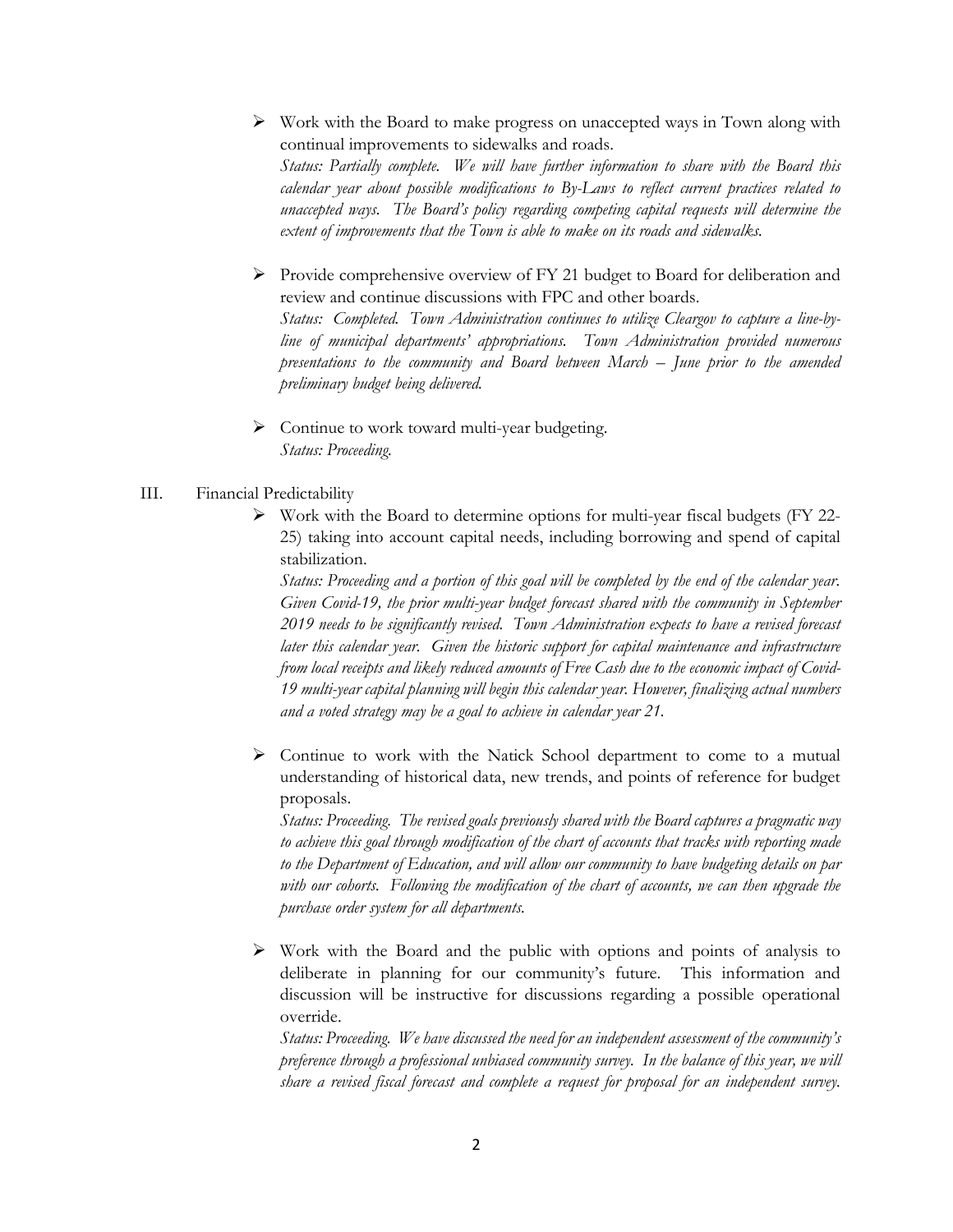- $\triangleright$  Work with the Board to make progress on unaccepted ways in Town along with continual improvements to sidewalks and roads. *Status: Partially complete. We will have further information to share with the Board this calendar year about possible modifications to By-Laws to reflect current practices related to unaccepted ways. The Board's policy regarding competing capital requests will determine the extent of improvements that the Town is able to make on its roads and sidewalks.*
- $\triangleright$  Provide comprehensive overview of FY 21 budget to Board for deliberation and review and continue discussions with FPC and other boards. *Status: Completed. Town Administration continues to utilize Cleargov to capture a line-byline of municipal departments' appropriations. Town Administration provided numerous presentations to the community and Board between March – June prior to the amended preliminary budget being delivered.*
- Continue to work toward multi-year budgeting. *Status: Proceeding.*

## III. Financial Predictability

 $\triangleright$  Work with the Board to determine options for multi-year fiscal budgets (FY 22-25) taking into account capital needs, including borrowing and spend of capital stabilization.

*Status: Proceeding and a portion of this goal will be completed by the end of the calendar year. Given Covid-19, the prior multi-year budget forecast shared with the community in September 2019 needs to be significantly revised. Town Administration expects to have a revised forecast later this calendar year. Given the historic support for capital maintenance and infrastructure from local receipts and likely reduced amounts of Free Cash due to the economic impact of Covid-19 multi-year capital planning will begin this calendar year. However, finalizing actual numbers and a voted strategy may be a goal to achieve in calendar year 21.*

 $\triangleright$  Continue to work with the Natick School department to come to a mutual understanding of historical data, new trends, and points of reference for budget proposals.

*Status: Proceeding. The revised goals previously shared with the Board captures a pragmatic way to achieve this goal through modification of the chart of accounts that tracks with reporting made to the Department of Education, and will allow our community to have budgeting details on par with our cohorts. Following the modification of the chart of accounts, we can then upgrade the purchase order system for all departments.* 

 $\triangleright$  Work with the Board and the public with options and points of analysis to deliberate in planning for our community's future. This information and discussion will be instructive for discussions regarding a possible operational override.

*Status: Proceeding. We have discussed the need for an independent assessment of the community's preference through a professional unbiased community survey. In the balance of this year, we will share a revised fiscal forecast and complete a request for proposal for an independent survey.*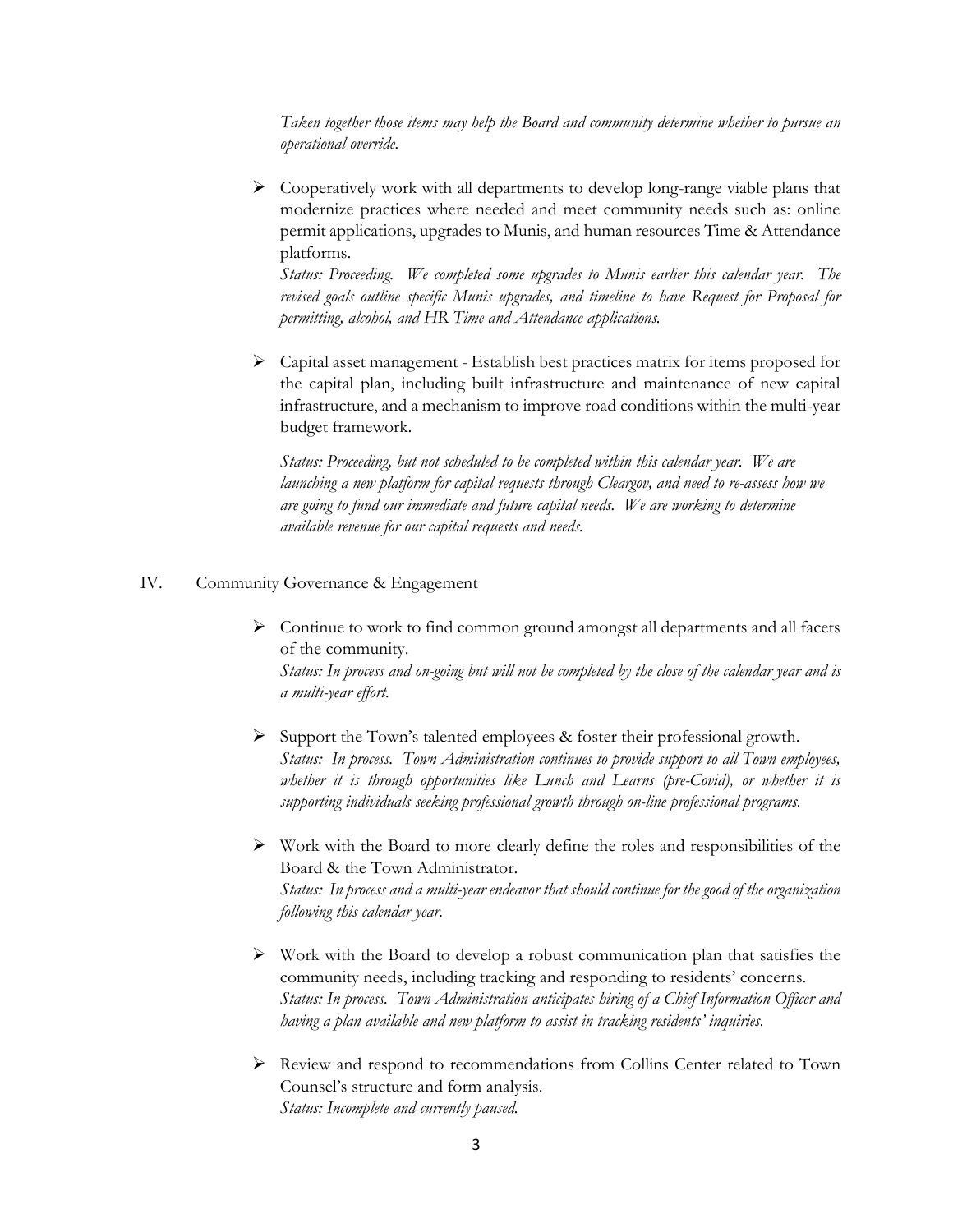*Taken together those items may help the Board and community determine whether to pursue an operational override.*

 $\triangleright$  Cooperatively work with all departments to develop long-range viable plans that modernize practices where needed and meet community needs such as: online permit applications, upgrades to Munis, and human resources Time & Attendance platforms.

*Status: Proceeding. We completed some upgrades to Munis earlier this calendar year. The revised goals outline specific Munis upgrades, and timeline to have Request for Proposal for permitting, alcohol, and HR Time and Attendance applications.* 

 $\triangleright$  Capital asset management - Establish best practices matrix for items proposed for the capital plan, including built infrastructure and maintenance of new capital infrastructure, and a mechanism to improve road conditions within the multi-year budget framework.

*Status: Proceeding, but not scheduled to be completed within this calendar year. We are launching a new platform for capital requests through Cleargov, and need to re-assess how we are going to fund our immediate and future capital needs. We are working to determine available revenue for our capital requests and needs.* 

### IV. Community Governance & Engagement

 $\triangleright$  Continue to work to find common ground amongst all departments and all facets of the community.

*Status: In process and on-going but will not be completed by the close of the calendar year and is a multi-year effort.* 

- $\triangleright$  Support the Town's talented employees & foster their professional growth. *Status: In process. Town Administration continues to provide support to all Town employees, whether it is through opportunities like Lunch and Learns (pre-Covid), or whether it is supporting individuals seeking professional growth through on-line professional programs.*
- $\triangleright$  Work with the Board to more clearly define the roles and responsibilities of the Board & the Town Administrator. *Status: In process and a multi-year endeavor that should continue for the good of the organization following this calendar year.*
- $\triangleright$  Work with the Board to develop a robust communication plan that satisfies the community needs, including tracking and responding to residents' concerns. *Status: In process. Town Administration anticipates hiring of a Chief Information Officer and having a plan available and new platform to assist in tracking residents' inquiries.*
- $\triangleright$  Review and respond to recommendations from Collins Center related to Town Counsel's structure and form analysis. *Status: Incomplete and currently paused.*